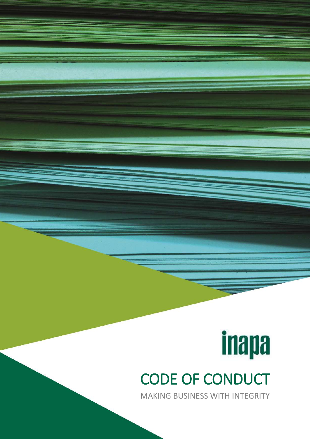## **inapa** CODE OF CONDUCT

<span id="page-0-0"></span>MAKING BUSINESS WITH INTEGRITY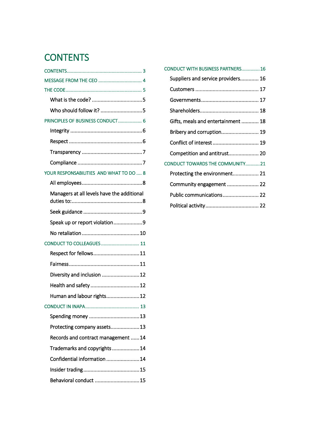#### **CONTENTS**

| Who should follow it? 5                    |
|--------------------------------------------|
| PRINCIPLES OF BUSINESS CONDUCT 6           |
|                                            |
|                                            |
|                                            |
|                                            |
| YOUR RESPONSABILITIES AND WHAT TO DO  8    |
|                                            |
| Managers at all levels have the additional |
|                                            |
| Speak up or report violation9              |
|                                            |
| CONDUCT TO COLLEAGUES 11                   |
| Respect for fellows11                      |
|                                            |
| Diversity and inclusion 12                 |
| Health and safety  12                      |
| Human and labour rights 12                 |
|                                            |
|                                            |
| Protecting company assets 13               |
| Records and contract management  14        |
| Trademarks and copyrights 14               |
| Confidential information  14               |
|                                            |
| Behavioral conduct  15                     |
|                                            |

| 3         | CONDUCT WITH BUSINESS PARTNERS16   |
|-----------|------------------------------------|
| 4         | Suppliers and service providers 16 |
| 5         |                                    |
| 5         |                                    |
| 5         |                                    |
| 6         | Gifts, meals and entertainment  18 |
| 6         | Bribery and corruption 19          |
| 6         | Conflict of interest  19           |
| $\dots$ 7 | Competition and antitrust 20       |
| 7         | CONDUCT TOWARDS THE COMMUNITY21    |
| 8         | Protecting the environment 21      |
| 8         | Community engagement  22           |
| nal       | Public communications 22           |
| 8         |                                    |
|           |                                    |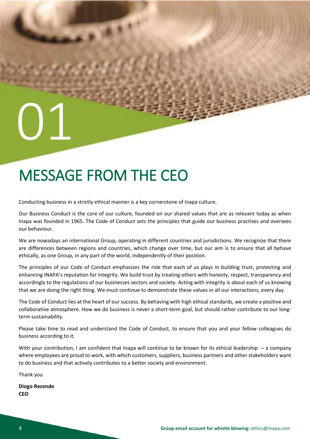### <span id="page-3-0"></span>MESSAGE FROM THE CEO

Conducting business in a strictly ethical manner is a key cornerstone of Inapa culture.

Our Business Conduct is the core of our culture, founded on our shared values that are as relevant today as when Inapa was founded in 1965. The Code of Conduct sets the principles that guide our business practises and oversees our behaviour.

We are nowadays an international Group, operating in different countries and jurisdictions. We recognize that there are differences between regions and countries, which change over time, but our aim is to ensure that all behave ethically, as one Group, in any part of the world, independently of their position.

The principles of our Code of Conduct emphasizes the role that each of us plays in building trust, protecting and enhancing INAPA's reputation for integrity. We build trust by treating others with honesty, respect, transparency and accordingly to the regulations of our businesses sectors and society. Acting with integrity is about each of us knowing that we are doing the right thing. We must continue to demonstrate these values in all our interactions, every day.

The Code of Conduct lies at the heart of our success. By behaving with high ethical standards, we create a positive and collaborative atmosphere. How we do business is never a short-term goal, but should rather contribute to our longterm sustainability.

Please take time to read and understand the Code of Conduct, to ensure that you and your fellow colleagues do business according to it.

With your contribution, I am confident that Inapa will continue to be known for its ethical leadership – a company where employees are proud to work, with which customers, suppliers, business partners and other stakeholders want to do business and that actively contributes to a better society and environment.

Thank you

**Diogo Rezende CEO**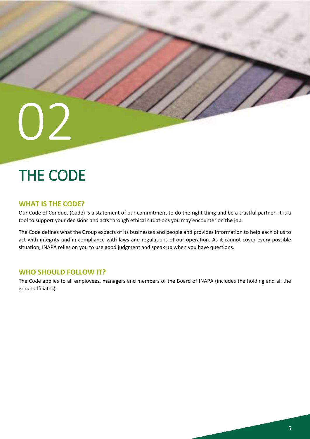## <span id="page-4-0"></span>THE CODE

#### <span id="page-4-1"></span>**WHAT IS THE CODE?**

Our Code of Conduct (Code) is a statement of our commitment to do the right thing and be a trustful partner. It is a tool to support your decisions and acts through ethical situations you may encounter on the job.

The Code defines what the Group expects of its businesses and people and provides information to help each of us to act with integrity and in compliance with laws and regulations of our operation. As it cannot cover every possible situation, INAPA relies on you to use good judgment and speak up when you have questions.

#### <span id="page-4-2"></span>**WHO SHOULD FOLLOW IT?**

The Code applies to all employees, managers and members of the Board of INAPA (includes the holding and all the group affiliates).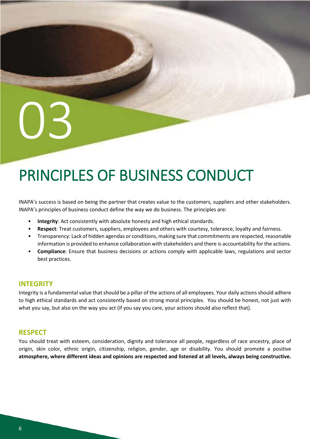## <span id="page-5-0"></span>PRINCIPLES OF BUSINESS CONDUCT

INAPA's success is based on being the partner that creates value to the customers, suppliers and other stakeholders. INAPA's principles of business conduct define the way we do business. The principles are:

- **Integrity**: Act consistently with absolute honesty and high ethical standards.
- **Respect**: Treat customers, suppliers, employees and others with courtesy, tolerance, loyalty and fairness.
- Transparency: Lack of hidden agendas or conditions, making sure that commitments are respected, reasonable information is provided to enhance collaboration with stakeholders and there is accountability for the actions.
- **Compliance**: Ensure that business decisions or actions comply with applicable laws, regulations and sector best practices.

#### <span id="page-5-1"></span>**INTEGRITY**

Integrity is a fundamental value that should be a pillar of the actions of all employees. Your daily actions should adhere to high ethical standards and act consistently based on strong moral principles. You should be honest, not just with what you say, but also on the way you act (if you say you care, your actions should also reflect that).

#### <span id="page-5-2"></span>**RESPECT**

You should treat with esteem, consideration, dignity and tolerance all people, regardless of race ancestry, place of origin, skin color, ethnic origin, citizenship, religion, gender, age or disability. You should promote a positive **atmosphere, where different ideas and opinions are respected and listened at all levels, always being constructive.**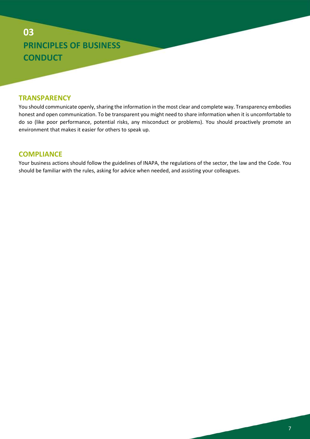### **03 PRINCIPLES OF BUSINESS CONDUCT**

#### <span id="page-6-0"></span>**TRANSPARENCY**

You should communicate openly, sharing the information in the most clear and complete way. Transparency embodies honest and open communication. To be transparent you might need to share information when it is uncomfortable to do so (like poor performance, potential risks, any misconduct or problems). You should proactively promote an environment that makes it easier for others to speak up.

#### <span id="page-6-1"></span>**COMPLIANCE**

Your business actions should follow the guidelines of INAPA, the regulations of the sector, the law and the Code. You should be familiar with the rules, asking for advice when needed, and assisting your colleagues.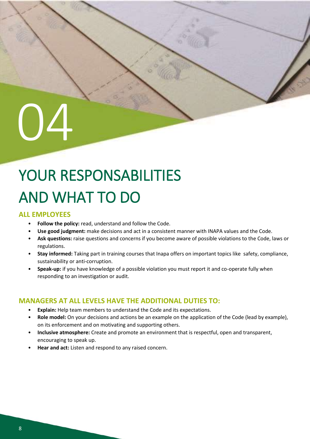## $\Box$

## <span id="page-7-0"></span>YOUR RESPONSABILITIES AND WHAT TO DO

#### <span id="page-7-1"></span>**ALL EMPLOYEES**

- **Follow the policy:** read, understand and follow the Code.
- **Use good judgment:** make decisions and act in a consistent manner with INAPA values and the Code.
- **Ask questions:** raise questions and concerns if you become aware of possible violations to the Code, laws or regulations.
- **Stay informed:** Taking part in training courses that Inapa offers on important topics like safety, compliance, sustainability or anti-corruption.
- **Speak-up:** if you have knowledge of a possible violation you must report it and co-operate fully when responding to an investigation or audit.

#### <span id="page-7-2"></span>**MANAGERS AT ALL LEVELS HAVE THE ADDITIONAL DUTIES TO:**

- **Explain:** Help team members to understand the Code and its expectations.
- **Role model:** On your decisions and actions be an example on the application of the Code (lead by example), on its enforcement and on motivating and supporting others.
- **Inclusive atmosphere:** Create and promote an environment that is respectful, open and transparent, encouraging to speak up.
- **Hear and act:** Listen and respond to any raised concern.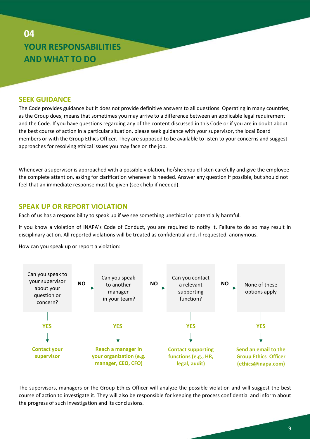#### **04 YOUR RESPONSABILITIES AND WHAT TO DO**

#### <span id="page-8-0"></span>**SEEK GUIDANCE**

The Code provides guidance but it does not provide definitive answers to all questions. Operating in many countries, as the Group does, means that sometimes you may arrive to a difference between an applicable legal requirement and the Code. If you have questions regarding any of the content discussed in this Code or if you are in doubt about the best course of action in a particular situation, please seek guidance with your supervisor, the local Board members or with the Group Ethics Officer. They are supposed to be available to listen to your concerns and suggest approaches for resolving ethical issues you may face on the job.

Whenever a supervisor is approached with a possible violation, he/she should listen carefully and give the employee the complete attention, asking for clarification whenever is needed. Answer any question if possible, but should not feel that an immediate response must be given (seek help if needed).

#### <span id="page-8-1"></span>**SPEAK UP OR REPORT VIOLATION**

Each of us has a responsibility to speak up if we see something unethical or potentially harmful.

If you know a violation of INAPA's Code of Conduct, you are required to notify it. Failure to do so may result in disciplinary action. All reported violations will be treated as confidential and, if requested, anonymous.

How can you speak up or report a violation:



The supervisors, managers or the Group Ethics Officer will analyze the possible violation and will suggest the best course of action to investigate it. They will also be responsible for keeping the process confidential and inform about the progress of such investigation and its conclusions.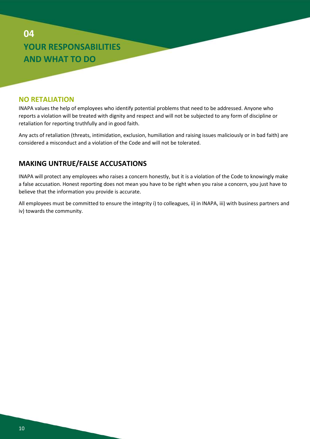#### **04 YOUR RESPONSABILITIES AND WHAT TO DO**

#### <span id="page-9-0"></span>**NO RETALIATION**

INAPA values the help of employees who identify potential problems that need to be addressed. Anyone who reports a violation will be treated with dignity and respect and will not be subjected to any form of discipline or retaliation for reporting truthfully and in good faith.

Any acts of retaliation (threats, intimidation, exclusion, humiliation and raising issues maliciously or in bad faith) are considered a misconduct and a violation of the Code and will not be tolerated.

#### **MAKING UNTRUE/FALSE ACCUSATIONS**

INAPA will protect any employees who raises a concern honestly, but it is a violation of the Code to knowingly make a false accusation. Honest reporting does not mean you have to be right when you raise a concern, you just have to believe that the information you provide is accurate.

All employees must be committed to ensure the integrity i) to colleagues, ii) in INAPA, iii) with business partners and iv) towards the community.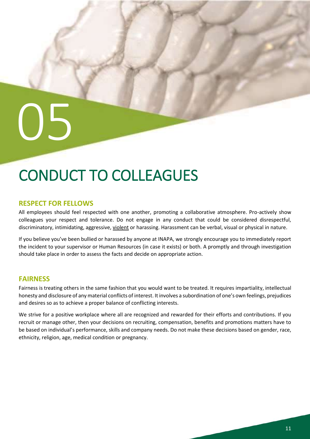## <span id="page-10-0"></span>CONDUCT TO COLLEAGUES

#### <span id="page-10-1"></span>**RESPECT FOR FELLOWS**

All employees should feel respected with one another, promoting a collaborative atmosphere. Pro-actively show colleagues your respect and tolerance. Do not engage in any conduct that could be considered disrespectful, discriminatory, intimidating, aggressive, violent or harassing. Harassment can be verbal, visual or physical in nature.

If you believe you've been bullied or harassed by anyone at INAPA, we strongly encourage you to immediately report the incident to your supervisor or Human Resources (in case it exists) or both. A promptly and through investigation should take place in order to assess the facts and decide on appropriate action.

#### <span id="page-10-2"></span>**FAIRNESS**

Fairness is treating others in the same fashion that you would want to be treated. It requires impartiality, intellectual honesty and disclosure of any material conflicts of interest. It involves a subordination of one's own feelings, prejudices and desires so as to achieve a proper balance of conflicting interests.

We strive for a positive workplace where all are recognized and rewarded for their efforts and contributions. If you recruit or manage other, then your decisions on recruiting, compensation, benefits and promotions matters have to be based on individual's performance, skills and company needs. Do not make these decisions based on gender, race, ethnicity, religion, age, medical condition or pregnancy.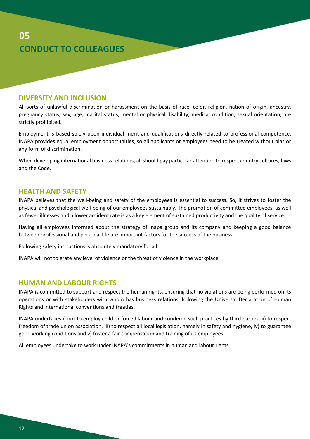

#### <span id="page-11-0"></span>**DIVERSITY AND INCLUSION**

All sorts of unlawful discrimination or harassment on the basis of race, color, religion, nation of origin, ancestry, pregnancy status, sex, age, marital status, mental or physical disability, medical condition, sexual orientation, are strictly prohibited.

Employment is based solely upon individual merit and qualifications directly related to professional competence. INAPA provides equal employment opportunities, so all applicants or employees need to be treated without bias or any form of discrimination.

When developing international business relations, all should pay particular attention to respect country cultures, laws and the Code.

#### <span id="page-11-1"></span>**HEALTH AND SAFETY**

INAPA believes that the well-being and safety of the employees is essential to success. So, it strives to foster the physical and psychological well-being of our employees sustainably. The promotion of committed employees, as well as fewer illnesses and a lower accident rate is as a key element of sustained productivity and the quality of service.

Having all employees informed about the strategy of Inapa group and its company and keeping a good balance between professional and personal life are important factors for the success of the business.

Following safety instructions is absolutely mandatory for all.

INAPA will not tolerate any level of violence or the threat of violence in the workplace.

#### <span id="page-11-2"></span>**HUMAN AND LABOUR RIGHTS**

INAPA is committed to support and respect the human rights, ensuring that no violations are being performed on its operations or with stakeholders with whom has business relations, following the Universal Declaration of Human Rights and international conventions and treaties.

INAPA undertakes i) not to employ child or forced labour and condemn such practices by third parties, ii) to respect freedom of trade union association, iii) to respect all local legislation, namely in safety and hygiene, iv) to guarantee good working conditions and v) foster a fair compensation and training of its employees.

All employees undertake to work under INAPA's commitments in human and labour rights.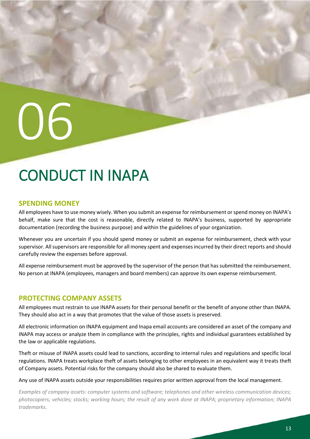## <span id="page-12-0"></span>CONDUCT IN INAPA

#### <span id="page-12-1"></span>**SPENDING MONEY**

All employees have to use money wisely. When you submit an expense for reimbursement or spend money on INAPA's behalf, make sure that the cost is reasonable, directly related to INAPA's business, supported by appropriate documentation (recording the business purpose) and within the guidelines of your organization.

Whenever you are uncertain if you should spend money or submit an expense for reimbursement, check with your supervisor. All supervisors are responsible for all money spent and expenses incurred by their direct reports and should carefully review the expenses before approval.

All expense reimbursement must be approved by the supervisor of the person that has submitted the reimbursement. No person at INAPA (employees, managers and board members) can approve its own expense reimbursement.

#### <span id="page-12-2"></span>**PROTECTING COMPANY ASSETS**

All employees must restrain to use INAPA assets for their personal benefit or the benefit of anyone other than INAPA. They should also act in a way that promotes that the value of those assets is preserved.

All electronic information on INAPA equipment and Inapa email accounts are considered an asset of the company and INAPA may access or analyze them in compliance with the principles, rights and individual guarantees established by the law or applicable regulations.

Theft or misuse of INAPA assets could lead to sanctions, according to internal rules and regulations and specific local regulations. INAPA treats workplace theft of assets belonging to other employees in an equivalent way it treats theft of Company assets. Potential risks for the company should also be shared to evaluate them.

Any use of INAPA assets outside your responsibilities requires prior written approval from the local management.

*Examples of company assets: computer systems and software; telephones and other wireless communication devices; photocopiers; vehicles; stocks; working hours; the result of any work done at INAPA; proprietary information; INAPA trademarks.*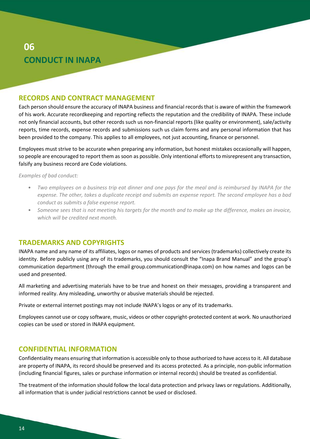#### **06 CONDUCT IN INAPA**

#### <span id="page-13-0"></span>**RECORDS AND CONTRACT MANAGEMENT**

Each person should ensure the accuracy of INAPA business and financial records that is aware of within the framework of his work. Accurate recordkeeping and reporting reflects the reputation and the credibility of INAPA. These include not only financial accounts, but other records such us non-financial reports (like quality or environment), sale/activity reports, time records, expense records and submissions such us claim forms and any personal information that has been provided to the company. This applies to all employees, not just accounting, finance or personnel.

Employees must strive to be accurate when preparing any information, but honest mistakes occasionally will happen, so people are encouraged to report them as soon as possible. Only intentional efforts to misrepresent any transaction, falsify any business record are Code violations.

*Examples of bad conduct:*

- *Two employees on a business trip eat dinner and one pays for the meal and is reimbursed by INAPA for the expense. The other, takes a duplicate receipt and submits an expense report. The second employee has a bad conduct as submits a false expense report.*
- *Someone sees that is not meeting his targets for the month and to make up the difference, makes an invoice, which will be credited next month.*

#### <span id="page-13-1"></span>**TRADEMARKS AND COPYRIGHTS**

INAPA name and any name of its affiliates, logos or names of products and services (trademarks) collectively create its identity. Before publicly using any of its trademarks, you should consult the "Inapa Brand Manual" and the group's communication department (through the email group.communication@inapa.com) on how names and logos can be used and presented.

All marketing and advertising materials have to be true and honest on their messages, providing a transparent and informed reality. Any misleading, unworthy or abusive materials should be rejected.

Private or external internet postings may not include INAPA's logos or any of its trademarks.

Employees cannot use or copy software, music, videos or other copyright-protected content at work. No unauthorized copies can be used or stored in INAPA equipment.

#### <span id="page-13-2"></span>**CONFIDENTIAL INFORMATION**

Confidentiality means ensuring that information is accessible only to those authorized to have access to it. All database are property of INAPA, its record should be preserved and its access protected. As a principle, non-public information (including financial figures, sales or purchase information or internal records) should be treated as confidential.

The treatment of the information should follow the local data protection and privacy laws or regulations. Additionally, all information that is under judicial restrictions cannot be used or disclosed.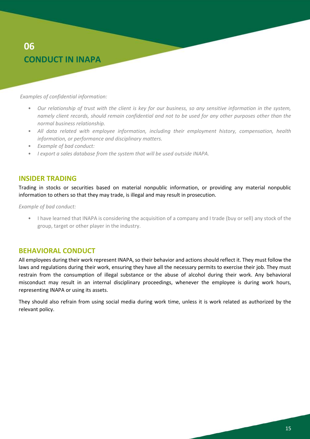#### **06 CONDUCT IN INAPA**

*Examples of confidential information:*

- *Our relationship of trust with the client is key for our business, so any sensitive information in the system, namely client records, should remain confidential and not to be used for any other purposes other than the normal business relationship.*
- *All data related with employee information, including their employment history, compensation, health information, or performance and disciplinary matters.*
- *Example of bad conduct:*
- *I export a sales database from the system that will be used outside INAPA.*

#### <span id="page-14-0"></span>**INSIDER TRADING**

Trading in stocks or securities based on material nonpublic information, or providing any material nonpublic information to others so that they may trade, is illegal and may result in prosecution.

*Example of bad conduct:*

• I have learned that INAPA is considering the acquisition of a company and I trade (buy or sell) any stock of the group, target or other player in the industry.

#### <span id="page-14-1"></span>**BEHAVIORAL CONDUCT**

All employees during their work represent INAPA, so their behavior and actions should reflect it. They must follow the laws and regulations during their work, ensuring they have all the necessary permits to exercise their job. They must restrain from the consumption of illegal substance or the abuse of alcohol during their work. Any behavioral misconduct may result in an internal disciplinary proceedings, whenever the employee is during work hours, representing INAPA or using its assets.

They should also refrain from using social media during work time, unless it is work related as authorized by the relevant policy.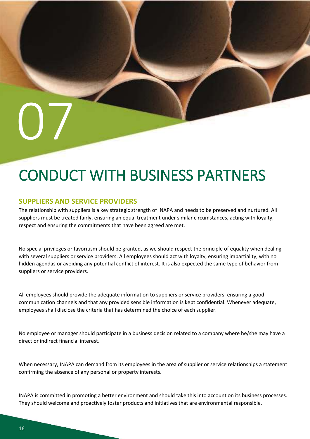#### <span id="page-15-1"></span><span id="page-15-0"></span>**SUPPLIERS AND SERVICE PROVIDERS**

07

The relationship with suppliers is a key strategic strength of INAPA and needs to be preserved and nurtured. All suppliers must be treated fairly, ensuring an equal treatment under similar circumstances, acting with loyalty, respect and ensuring the commitments that have been agreed are met.

No special privileges or favoritism should be granted, as we should respect the principle of equality when dealing with several suppliers or service providers. All employees should act with loyalty, ensuring impartiality, with no hidden agendas or avoiding any potential conflict of interest. It is also expected the same type of behavior from suppliers or service providers.

All employees should provide the adequate information to suppliers or service providers, ensuring a good communication channels and that any provided sensible information is kept confidential. Whenever adequate, employees shall disclose the criteria that has determined the choice of each supplier.

No employee or manager should participate in a business decision related to a company where he/she may have a direct or indirect financial interest.

When necessary, INAPA can demand from its employees in the area of supplier or service relationships a statement confirming the absence of any personal or property interests.

INAPA is committed in promoting a better environment and should take this into account on its business processes. They should welcome and proactively foster products and initiatives that are environmental responsible.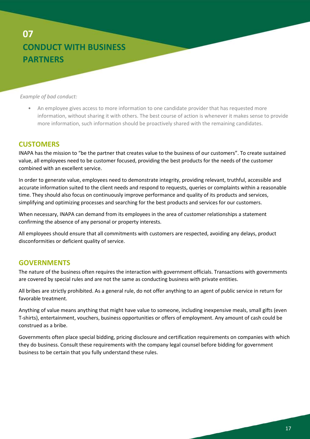*Example of bad conduct:*

• An employee gives access to more information to one candidate provider that has requested more information, without sharing it with others. The best course of action is whenever it makes sense to provide more information, such information should be proactively shared with the remaining candidates.

#### <span id="page-16-0"></span>**CUSTOMERS**

INAPA has the mission to "be the partner that creates value to the business of our customers". To create sustained value, all employees need to be customer focused, providing the best products for the needs of the customer combined with an excellent service.

In order to generate value, employees need to demonstrate integrity, providing relevant, truthful, accessible and accurate information suited to the client needs and respond to requests, queries or complaints within a reasonable time. They should also focus on continuously improve performance and quality of its products and services, simplifying and optimizing processes and searching for the best products and services for our customers.

When necessary, INAPA can demand from its employees in the area of customer relationships a statement confirming the absence of any personal or property interests.

All employees should ensure that all commitments with customers are respected, avoiding any delays, product disconformities or deficient quality of service.

#### <span id="page-16-1"></span>**GOVERNMENTS**

The nature of the business often requires the interaction with government officials. Transactions with governments are covered by special rules and are not the same as conducting business with private entities.

All bribes are strictly prohibited. As a general rule, do not offer anything to an agent of public service in return for favorable treatment.

Anything of value means anything that might have value to someone, including inexpensive meals, small gifts (even T-shirts), entertainment, vouchers, business opportunities or offers of employment. Any amount of cash could be construed as a bribe.

Governments often place special bidding, pricing disclosure and certification requirements on companies with which they do business. Consult these requirements with the company legal counsel before bidding for government business to be certain that you fully understand these rules.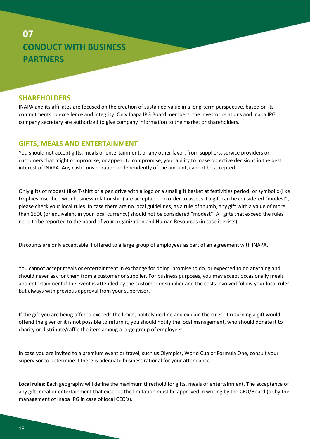#### <span id="page-17-0"></span>**SHAREHOLDERS**

INAPA and its affiliates are focused on the creation of sustained value in a long-term perspective, based on its commitments to excellence and integrity. Only Inapa IPG Board members, the investor relations and Inapa IPG company secretary are authorized to give company information to the market or shareholders.

#### <span id="page-17-1"></span>**GIFTS, MEALS AND ENTERTAINMENT**

You should not accept gifts, meals or entertainment, or any other favor, from suppliers, service providers or customers that might compromise, or appear to compromise, your ability to make objective decisions in the best interest of INAPA. Any cash consideration, independently of the amount, cannot be accepted.

Only gifts of modest (like T-shirt or a pen drive with a logo or a small gift basket at festivities period) or symbolic (like trophies inscribed with business relationship) are acceptable. In order to assess if a gift can be considered "modest", please check your local rules. In case there are no local guidelines, as a rule of thumb, any gift with a value of more than 150€ (or equivalent in your local currency) should not be considered "modest". All gifts that exceed the rules need to be reported to the board of your organization and Human Resources (in case it exists).

Discounts are only acceptable if offered to a large group of employees as part of an agreement with INAPA.

You cannot accept meals or entertainment in exchange for doing, promise to do, or expected to do anything and should never ask for them from a customer or supplier. For business purposes, you may accept occasionally meals and entertainment if the event is attended by the customer or supplier and the costs involved follow your local rules, but always with previous approval from your supervisor.

If the gift you are being offered exceeds the limits, politely decline and explain the rules. If returning a gift would offend the giver or it is not possible to return it, you should notify the local management, who should donate it to charity or distribute/raffle the item among a large group of employees.

In case you are invited to a premium event or travel, such us Olympics, World Cup or Formula One, consult your supervisor to determine if there is adequate business rational for your attendance.

**Local rules:** Each geography will define the maximum threshold for gifts, meals or entertainment. The acceptance of any gift, meal or entertainment that exceeds the limitation must be approved in writing by the CEO/Board (or by the management of Inapa IPG in case of local CEO's).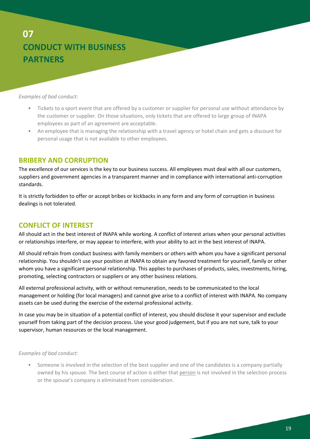*Examples of bad conduct:*

- Tickets to a sport event that are offered by a customer or supplier for personal use without attendance by the customer or supplier. On those situations, only tickets that are offered to large group of INAPA employees as part of an agreement are acceptable.
- An employee that is managing the relationship with a travel agency or hotel chain and gets a discount for personal usage that is not available to other employees.

#### <span id="page-18-0"></span>**BRIBERY AND CORRUPTION**

The excellence of our services is the key to our business success. All employees must deal with all our customers, suppliers and government agencies in a transparent manner and in compliance with international anti-corruption standards.

It is strictly forbidden to offer or accept bribes or kickbacks in any form and any form of corruption in business dealings is not tolerated.

#### <span id="page-18-1"></span>**CONFLICT OF INTEREST**

All should act in the best interest of INAPA while working. A conflict of interest arises when your personal activities or relationships interfere, or may appear to interfere, with your ability to act in the best interest of INAPA.

All should refrain from conduct business with family members or others with whom you have a significant personal relationship. You shouldn't use your position at INAPA to obtain any favored treatment for yourself, family or other whom you have a significant personal relationship. This applies to purchases of products, sales, investments, hiring, promoting, selecting contractors or suppliers or any other business relations.

All external professional activity, with or without remuneration, needs to be communicated to the local management or holding (for local managers) and cannot give arise to a conflict of interest with INAPA. No company assets can be used during the exercise of the external professional activity.

In case you may be in situation of a potential conflict of interest, you should disclose it your supervisor and exclude yourself from taking part of the decision process. Use your good judgement, but if you are not sure, talk to your supervisor, human resources or the local management.

*Examples of bad conduct:*

• Someone is involved in the selection of the best supplier and one of the candidates is a company partially owned by his spouse. The best course of action is either that person is not involved in the selection process or the spouse's company is eliminated from consideration.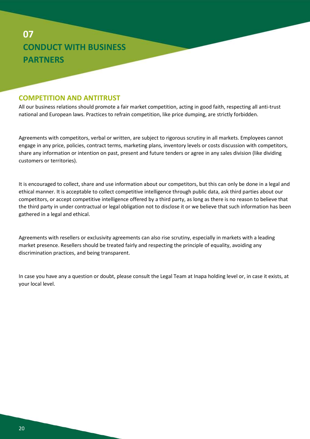#### <span id="page-19-0"></span>**COMPETITION AND ANTITRUST**

All our business relations should promote a fair market competition, acting in good faith, respecting all anti-trust national and European laws. Practices to refrain competition, like price dumping, are strictly forbidden.

Agreements with competitors, verbal or written, are subject to rigorous scrutiny in all markets. Employees cannot engage in any price, policies, contract terms, marketing plans, inventory levels or costs discussion with competitors, share any information or intention on past, present and future tenders or agree in any sales division (like dividing customers or territories).

It is encouraged to collect, share and use information about our competitors, but this can only be done in a legal and ethical manner. It is acceptable to collect competitive intelligence through public data, ask third parties about our competitors, or accept competitive intelligence offered by a third party, as long as there is no reason to believe that the third party in under contractual or legal obligation not to disclose it or we believe that such information has been gathered in a legal and ethical.

Agreements with resellers or exclusivity agreements can also rise scrutiny, especially in markets with a leading market presence. Resellers should be treated fairly and respecting the principle of equality, avoiding any discrimination practices, and being transparent.

In case you have any a question or doubt, please consult the Legal Team at Inapa holding level or, in case it exists, at your local level.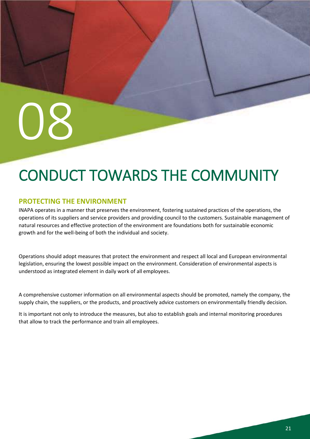## <span id="page-20-0"></span>CONDUCT TOWARDS THE COMMUNITY

#### <span id="page-20-1"></span>**PROTECTING THE ENVIRONMENT**

INAPA operates in a manner that preserves the environment, fostering sustained practices of the operations, the operations of its suppliers and service providers and providing council to the customers. Sustainable management of natural resources and effective protection of the environment are foundations both for sustainable economic growth and for the well-being of both the individual and society.

Operations should adopt measures that protect the environment and respect all local and European environmental legislation, ensuring the lowest possible impact on the environment. Consideration of environmental aspects is understood as integrated element in daily work of all employees.

A comprehensive customer information on all environmental aspects should be promoted, namely the company, the supply chain, the suppliers, or the products, and proactively advice customers on environmentally friendly decision.

It is important not only to introduce the measures, but also to establish goals and internal monitoring procedures that allow to track the performance and train all employees.